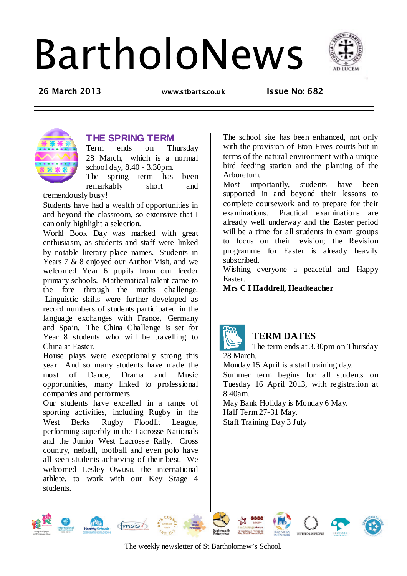# BartholoNews



**26 March 2013 www.stbarts.co.uk Issue No: 682** 



## **THE SPRING TERM**

Term ends on Thursday 28 March, which is a normal school day, 8.40 - 3.30pm.

The spring term has been remarkably short and

tremendously busy!

Students have had a wealth of opportunities in and beyond the classroom, so extensive that I can only highlight a selection.

World Book Day was marked with great enthusiasm, as students and staff were linked by notable literary place names. Students in Years 7 & 8 enjoyed our Author Visit, and we welcomed Year 6 pupils from our feeder primary schools. Mathematical talent came to the fore through the maths challenge. Linguistic skills were further developed as record numbers of students participated in the language exchanges with France, Germany and Spain. The China Challenge is set for Year 8 students who will be travelling to China at Easter.

House plays were exceptionally strong this year. And so many students have made the most of Dance, Drama and Music opportunities, many linked to professional companies and performers.

Our students have excelled in a range of sporting activities, including Rugby in the West Berks Rugby Floodlit League, performing superbly in the Lacrosse Nationals and the Junior West Lacrosse Rally. Cross country, netball, football and even polo have all seen students achieving of their best. We welcomed Lesley Owusu, the international athlete, to work with our Key Stage 4 students.

The school site has been enhanced, not only with the provision of Eton Fives courts but in terms of the natural environment with a unique bird feeding station and the planting of the Arboretum.

Most importantly, students have been supported in and beyond their lessons to complete coursework and to prepare for their examinations. Practical examinations are already well underway and the Easter period will be a time for all students in exam groups to focus on their revision; the Revision programme for Easter is already heavily subscribed.

Wishing everyone a peaceful and Happy Easter.

**Mrs C I Haddrell, Headteacher** 



## **TERM DATES**

The term ends at 3.30pm on Thursday 28 March.

Monday 15 April is a staff training day.

Summer term begins for all students on Tuesday 16 April 2013, with registration at 8.40am.

May Bank Holiday is Monday 6 May. Half Term 27-31 May. Staff Training Day 3 July











The weekly newsletter of St Bartholomew's School.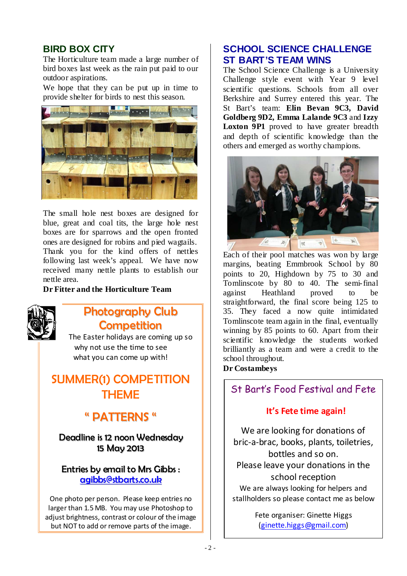## **BIRD BOX CITY**

The Horticulture team made a large number of bird boxes last week as the rain put paid to our outdoor aspirations.

We hope that they can be put up in time to provide shelter for birds to nest this season.



The small hole nest boxes are designed for blue, great and coal tits, the large hole nest boxes are for sparrows and the open fronted ones are designed for robins and pied wagtails. Thank you for the kind offers of nettles following last week's appeal. We have now received many nettle plants to establish our nettle area.

**Dr Fitter and the Horticulture Team** 



## *Photography Club Competition*

The Easter holidays are coming up so why not use the time to see what you can come up with!

## *SUMMER(1) COMPETITION THEME*

## *" PATTERNS "*

*Deadline is 12 noon Wednesday 15 May 2013*

## *Entries by email to Mrs Gibbs : agibbs@stbarts.co.uk*

One photo per person. Please keep entries no larger than 1.5 MB. You may use Photoshop to adiust brightness, contrast or colour of the image but NOT to add or remove parts of the image.

## **SCHOOL SCIENCE CHALLENGE ST BART'S TEAM WINS**

The School Science Challenge is a University Challenge style event with Year 9 level scientific questions. Schools from all over Berkshire and Surrey entered this year. The St Bart's team: **Elin Bevan 9C3, David Goldberg 9D2, Emma Lalande 9C3** and **Izzy**  Loxton 9P1 proved to have greater breadth and depth of scientific knowledge than the others and emerged as worthy champions.



Each of their pool matches was won by large margins, beating Emmbrook School by 80 points to 20, Highdown by 75 to 30 and Tomlinscote by 80 to 40. The semi-final against Heathland proved to be straightforward, the final score being 125 to 35. They faced a now quite intimidated Tomlinscote team again in the final, eventually winning by 85 points to 60. Apart from their scientific knowledge the students worked brilliantly as a team and were a credit to the school throughout.

#### **Dr Costambeys**

## St Bart's Food Festival and Fete

## **It's Fete time again!**

We are looking for donations of bric-a-brac, books, plants, toiletries, bottles and so on. Please leave your donations in the school reception We are always looking for helpers and stallholders so please contact me as below

> Fete organiser: Ginette Higgs (ginette.higgs@gmail.com)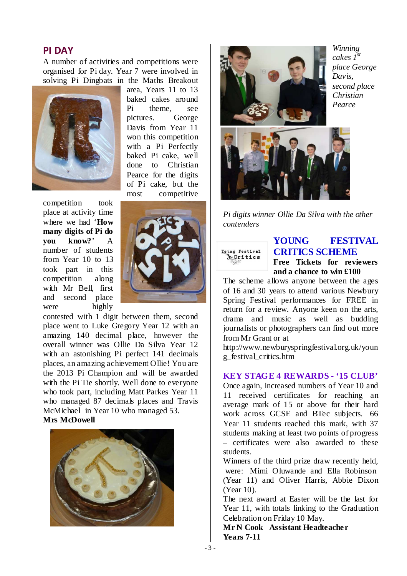#### **PI DAY**

A number of activities and competitions were organised for Pi day. Year 7 were involved in solving Pi Dingbats in the Maths Breakout



area, Years 11 to 13 baked cakes around Pi theme, see pictures. George Davis from Year 11 won this competition with a Pi Perfectly baked Pi cake, well done to Christian Pearce for the digits of Pi cake, but the most competitive

competition took place at activity time where we had '**How many digits of Pi do you know?**' A number of students from Year 10 to 13 took part in this competition along with Mr Bell, first and second place were highly



contested with 1 digit between them, second place went to Luke Gregory Year 12 with an amazing 140 decimal place, however the overall winner was Ollie Da Silva Year 12 with an astonishing Pi perfect 141 decimals places, an amazing achievement Ollie! You are the 2013 Pi Champion and will be awarded with the Pi Tie shortly. Well done to everyone who took part, including Matt Parkes Year 11 who managed 87 decimals places and Travis McMichael in Year 10 who managed 53. **Mrs McDowell** 





*Winning cakes 1st place George Davis, second place Christian Pearce* 



*Pi digits winner Ollie Da Silva with the other contenders* 



#### **YOUNG FESTIVAL CRITICS SCHEME Free Tickets for reviewers and a chance to win £100**

The scheme allows anyone between the ages of 16 and 30 years to attend various Newbury Spring Festival performances for FREE in return for a review. Anyone keen on the arts, drama and music as well as budding journalists or photographers can find out more from Mr Grant or at

http://www.newburyspringfestival.org.uk/youn g\_festival\_critics.htm

#### **KEY STAGE 4 REWARDS - '15 CLUB'**

Once again, increased numbers of Year 10 and 11 received certificates for reaching an average mark of 15 or above for their hard work across GCSE and BTec subjects. 66 Year 11 students reached this mark, with 37 students making at least two points of progress – certificates were also awarded to these students.

Winners of the third prize draw recently held, were: Mimi Oluwande and Ella Robinson (Year 11) and Oliver Harris, Abbie Dixon (Year 10).

The next award at Easter will be the last for Year 11, with totals linking to the Graduation Celebration on Friday 10 May.

**Mr N Cook Assistant Headteacher Years 7-11**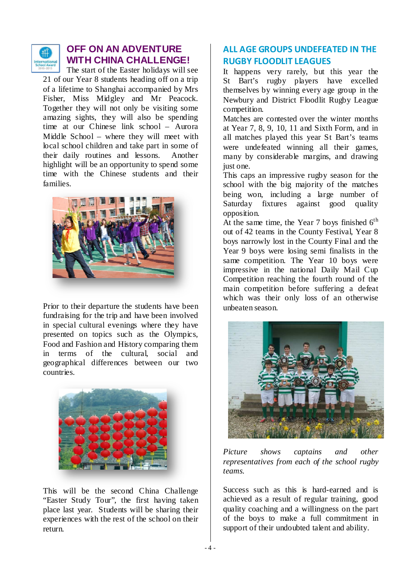

## **OFF ON AN ADVENTURE WITH CHINA CHALLENGE!**

The start of the Easter holidays will see 21 of our Year 8 students heading off on a trip of a lifetime to Shanghai accompanied by Mrs Fisher, Miss Midgley and Mr Peacock. Together they will not only be visiting some amazing sights, they will also be spending time at our Chinese link school – Aurora Middle School – where they will meet with local school children and take part in some of their daily routines and lessons. Another highlight will be an opportunity to spend some time with the Chinese students and their families.



Prior to their departure the students have been fundraising for the trip and have been involved in special cultural evenings where they have presented on topics such as the Olympics, Food and Fashion and History comparing them in terms of the cultural, social and geographical differences between our two countries.



This will be the second China Challenge "Easter Study Tour", the first having taken place last year. Students will be sharing their experiences with the rest of the school on their return.

## **ALL AGE GROUPS UNDEFEATED IN THE RUGBY FLOODLIT LEAGUES**

It happens very rarely, but this year the St Bart's rugby players have excelled themselves by winning every age group in the Newbury and District Floodlit Rugby League competition.

Matches are contested over the winter months at Year 7, 8, 9, 10, 11 and Sixth Form, and in all matches played this year St Bart's teams were undefeated winning all their games, many by considerable margins, and drawing just one.

This caps an impressive rugby season for the school with the big majority of the matches being won, including a large number of Saturday fixtures against good quality opposition.

At the same time, the Year 7 boys finished  $6<sup>th</sup>$ out of 42 teams in the County Festival, Year 8 boys narrowly lost in the County Final and the Year 9 boys were losing semi finalists in the same competition. The Year 10 boys were impressive in the national Daily Mail Cup Competition reaching the fourth round of the main competition before suffering a defeat which was their only loss of an otherwise unbeaten season.



*Picture shows captains and other representatives from each of the school rugby teams.* 

Success such as this is hard-earned and is achieved as a result of regular training, good quality coaching and a willingness on the part of the boys to make a full commitment in support of their undoubted talent and ability.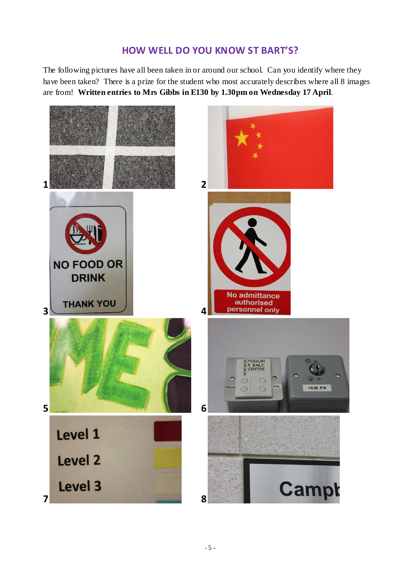## **HOW WELL DO YOU KNOW ST BART'S?**

The following pictures have all been taken in or around our school. Can you identify where they have been taken? There is a prize for the student who most accurately describes where all 8 images are from! **Written entries to Mrs Gibbs in E130 by 1.30pm on Wednesday 17 April**.

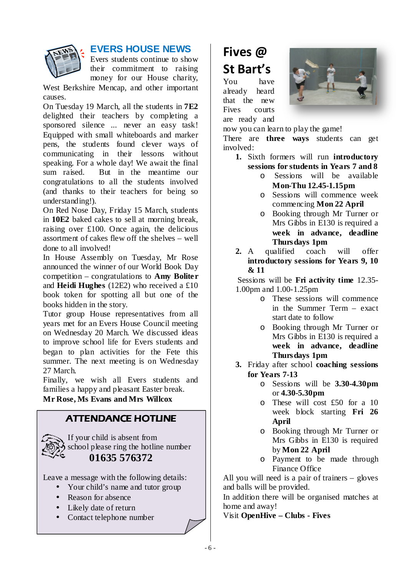

## **EVERS HOUSE NEWS**

Evers students continue to show their commitment to raising money for our House charity,

West Berkshire Mencap, and other important causes.

On Tuesday 19 March, all the students in **7E2** delighted their teachers by completing a sponsored silence ... never an easy task! Equipped with small whiteboards and marker pens, the students found clever ways of communicating in their lessons without speaking. For a whole day! We await the final sum raised. But in the meantime our congratulations to all the students involved (and thanks to their teachers for being so understanding!).

On Red Nose Day, Friday 15 March, students in **10E2** baked cakes to sell at morning break, raising over £100. Once again, the delicious assortment of cakes flew off the shelves – well done to all involved!

In House Assembly on Tuesday, Mr Rose announced the winner of our World Book Day competition – congratulations to **Amy Boliter** and **Heidi Hughes** (12E2) who received a £10 book token for spotting all but one of the books hidden in the story.

Tutor group House representatives from all years met for an Evers House Council meeting on Wednesday 20 March. We discussed ideas to improve school life for Evers students and began to plan activities for the Fete this summer. The next meeting is on Wednesday 27 March.

Finally, we wish all Evers students and families a happy and pleasant Easter break. **Mr Rose, Ms Evans and Mrs Willcox** 

## **ATTENDANCE HOTLINE**



If your child is absent from school please ring the hotline number **01635 576372** 

Leave a message with the following details:

- Your child's name and tutor group
- Reason for absence
- Likely date of return
- Contact telephone number

# **Fives @ St Bart's**

You have already heard that the new Fives courts are ready and



now you can learn to play the game! There are **three ways** students can get involved:

- **1.** Sixth formers will run **introductory sessions for students in Years 7 and 8** 
	- o Sessions will be available **Mon-Thu 12.45-1.15pm**
	- o Sessions will commence week commencing **Mon 22 April**
	- o Booking through Mr Turner or Mrs Gibbs in E130 is required a **week in advance, deadline Thursdays 1pm**
- **2.** A qualified coach will offer **introductory sessions for Years 9, 10 & 11**

 Sessions will be **Fri activity time** 12.35- 1.00pm and 1.00-1.25pm

- o These sessions will commence in the Summer Term – exact start date to follow
- o Booking through Mr Turner or Mrs Gibbs in E130 is required a **week in advance, deadline Thursdays 1pm**
- **3.** Friday after school **coaching sessions for Years 7-13**
	- o Sessions will be **3.30-4.30pm** or **4.30-5.30pm**
	- o These will cost £50 for a 10 week block starting **Fri 26 April**
	- o Booking through Mr Turner or Mrs Gibbs in E130 is required by **Mon 22 April**
	- o Payment to be made through Finance Office

All you will need is a pair of trainers – gloves and balls will be provided.

In addition there will be organised matches at home and away!

Visit **OpenHive – Clubs - Fives**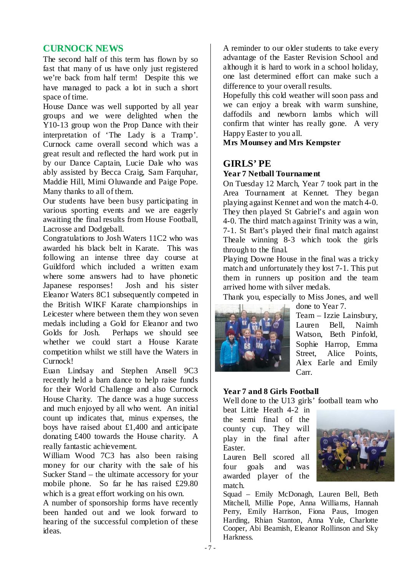#### **CURNOCK NEWS**

The second half of this term has flown by so fast that many of us have only just registered we're back from half term! Despite this we have managed to pack a lot in such a short space of time.

House Dance was well supported by all year groups and we were delighted when the Y10-13 group won the Prop Dance with their interpretation of 'The Lady is a Tramp'. Curnock came overall second which was a great result and reflected the hard work put in by our Dance Captain, Lucie Dale who was ably assisted by Becca Craig, Sam Farquhar, Maddie Hill, Mimi Oluwande and Paige Pope. Many thanks to all of them.

Our students have been busy participating in various sporting events and we are eagerly awaiting the final results from House Football, Lacrosse and Dodgeball.

Congratulations to Josh Waters 11C2 who was awarded his black belt in Karate. This was following an intense three day course at Guildford which included a written exam where some answers had to have phonetic Japanese responses! Josh and his sister Eleanor Waters 8C1 subsequently competed in the British WIKF Karate championships in Leicester where between them they won seven medals including a Gold for Eleanor and two Golds for Josh. Perhaps we should see whether we could start a House Karate competition whilst we still have the Waters in Curnock!

Euan Lindsay and Stephen Ansell 9C3 recently held a barn dance to help raise funds for their World Challenge and also Curnock House Charity. The dance was a huge success and much enjoyed by all who went. An initial count up indicates that, minus expenses, the boys have raised about £1,400 and anticipate donating £400 towards the House charity. A really fantastic achievement.

William Wood 7C3 has also been raising money for our charity with the sale of his Sucker Stand – the ultimate accessory for your mobile phone. So far he has raised £29.80 which is a great effort working on his own.

A number of sponsorship forms have recently been handed out and we look forward to hearing of the successful completion of these ideas.

A reminder to our older students to take every advantage of the Easter Revision School and although it is hard to work in a school holiday, one last determined effort can make such a difference to your overall results.

Hopefully this cold weather will soon pass and we can enjoy a break with warm sunshine, daffodils and newborn lambs which will confirm that winter has really gone. A very Happy Easter to you all.

**Mrs Mounsey and Mrs Kempster** 

## **GIRLS' PE**

#### **Year 7 Netball Tournament**

On Tuesday 12 March, Year 7 took part in the Area Tournament at Kennet. They began playing against Kennet and won the match 4-0. They then played St Gabriel's and again won 4-0. The third match against Trinity was a win, 7-1. St Bart's played their final match against Theale winning 8-3 which took the girls through to the final.

Playing Downe House in the final was a tricky match and unfortunately they lost 7-1. This put them in runners up position and the team arrived home with silver medals.

Thank you, especially to Miss Jones, and well done to Year 7.



Team – Izzie Lainsbury, Lauren Bell, Naimh Watson, Beth Pinfold, Sophie Harrop, Emma Street, Alice Points, Alex Earle and Emily Carr.

#### **Year 7 and 8 Girls Football**

Well done to the U13 girls' football team who

beat Little Heath 4-2 in the semi final of the county cup. They will play in the final after Easter.

Lauren Bell scored all four goals and was awarded player of the match.



Squad – Emily McDonagh, Lauren Bell, Beth Mitchell, Millie Pope, Anna Williams, Hannah Perry, Emily Harrison, Fiona Paus, Imogen Harding, Rhian Stanton, Anna Yule, Charlotte Cooper, Abi Beamish, Eleanor Rollinson and Sky Harkness.